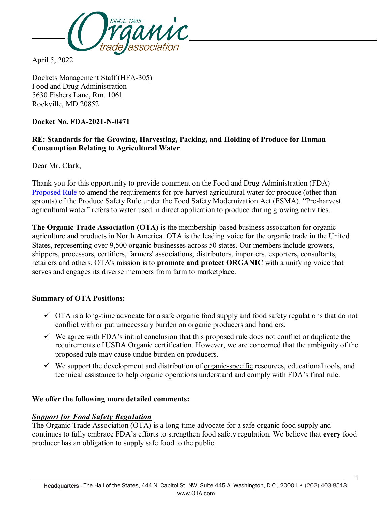

April 5, 2022

Dockets Management Staff (HFA-305) Food and Drug Administration 5630 Fishers Lane, Rm. 1061 Rockville, MD 20852

# **Docket No. FDA-2021-N-0471**

# **RE: Standards for the Growing, Harvesting, Packing, and Holding of Produce for Human Consumption Relating to Agricultural Water**

Dear Mr. Clark,

Thank you for this opportunity to provide comment on the Food and Drug Administration (FDA) [Proposed Rule](https://www.regulations.gov/document/FDA-2021-N-0471-0001) to amend the requirements for pre-harvest agricultural water for produce (other than sprouts) of the Produce Safety Rule under the Food Safety Modernization Act (FSMA). "Pre-harvest agricultural water" refers to water used in direct application to produce during growing activities.

**The Organic Trade Association (OTA)** is the membership-based business association for organic agriculture and products in North America. OTA is the leading voice for the organic trade in the United States, representing over 9,500 organic businesses across 50 states. Our members include growers, shippers, processors, certifiers, farmers' associations, distributors, importers, exporters, consultants, retailers and others. OTA's mission is to **promote and protect ORGANIC** with a unifying voice that serves and engages its diverse members from farm to marketplace.

### **Summary of OTA Positions:**

- $\checkmark$  OTA is a long-time advocate for a safe organic food supply and food safety regulations that do not conflict with or put unnecessary burden on organic producers and handlers.
- $\checkmark$  We agree with FDA's initial conclusion that this proposed rule does not conflict or duplicate the requirements of USDA Organic certification. However, we are concerned that the ambiguity of the proposed rule may cause undue burden on producers.
- $\checkmark$  We support the development and distribution of organic-specific resources, educational tools, and technical assistance to help organic operations understand and comply with FDA's final rule.

#### **We offer the following more detailed comments:**

### *Support for Food Safety Regulation*

The Organic Trade Association (OTA) is a long-time advocate for a safe organic food supply and continues to fully embrace FDA's efforts to strengthen food safety regulation. We believe that **every** food producer has an obligation to supply safe food to the public.

1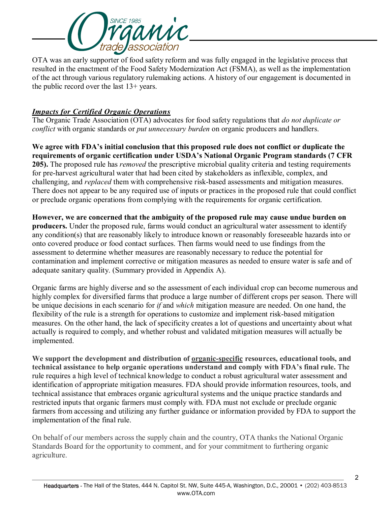

OTA was an early supporter of food safety reform and was fully engaged in the legislative process that resulted in the enactment of the Food Safety Modernization Act (FSMA), as well as the implementation of the act through various regulatory rulemaking actions. A history of our engagement is documented in the public record over the last 13+ years.

# *Impacts for Certified Organic Operations*

The Organic Trade Association (OTA) advocates for food safety regulations that *do not duplicate or conflict* with organic standards or *put unnecessary burden* on organic producers and handlers.

**We agree with FDA's initial conclusion that this proposed rule does not conflict or duplicate the requirements of organic certification under USDA's National Organic Program standards (7 CFR 205).** The proposed rule has *removed* the prescriptive microbial quality criteria and testing requirements for pre-harvest agricultural water that had been cited by stakeholders as inflexible, complex, and challenging, and *replaced* them with comprehensive risk-based assessments and mitigation measures. There does not appear to be any required use of inputs or practices in the proposed rule that could conflict or preclude organic operations from complying with the requirements for organic certification.

**However, we are concerned that the ambiguity of the proposed rule may cause undue burden on producers.** Under the proposed rule, farms would conduct an agricultural water assessment to identify any condition(s) that are reasonably likely to introduce known or reasonably foreseeable hazards into or onto covered produce or food contact surfaces. Then farms would need to use findings from the assessment to determine whether measures are reasonably necessary to reduce the potential for contamination and implement corrective or mitigation measures as needed to ensure water is safe and of adequate sanitary quality. (Summary provided in Appendix A).

Organic farms are highly diverse and so the assessment of each individual crop can become numerous and highly complex for diversified farms that produce a large number of different crops per season. There will be unique decisions in each scenario for *if* and *which* mitigation measure are needed. On one hand, the flexibility of the rule is a strength for operations to customize and implement risk-based mitigation measures. On the other hand, the lack of specificity creates a lot of questions and uncertainty about what actually is required to comply, and whether robust and validated mitigation measures will actually be implemented.

**We support the development and distribution of organic-specific resources, educational tools, and technical assistance to help organic operations understand and comply with FDA's final rule.** The rule requires a high level of technical knowledge to conduct a robust agricultural water assessment and identification of appropriate mitigation measures. FDA should provide information resources, tools, and technical assistance that embraces organic agricultural systems and the unique practice standards and restricted inputs that organic farmers must comply with. FDA must not exclude or preclude organic farmers from accessing and utilizing any further guidance or information provided by FDA to support the implementation of the final rule.

On behalf of our members across the supply chain and the country, OTA thanks the National Organic Standards Board for the opportunity to comment, and for your commitment to furthering organic agriculture.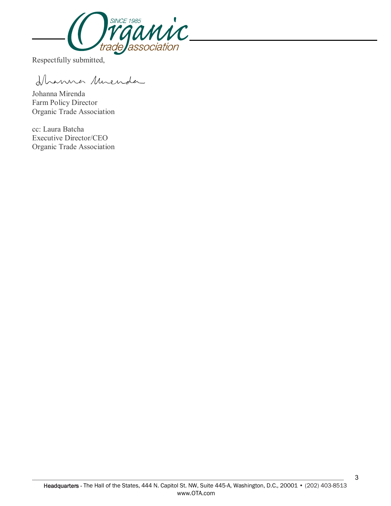

Respectfully submitted,

Ihanna Muenda

Johanna Mirenda Farm Policy Director Organic Trade Association

cc: Laura Batcha Executive Director/CEO Organic Trade Association

3